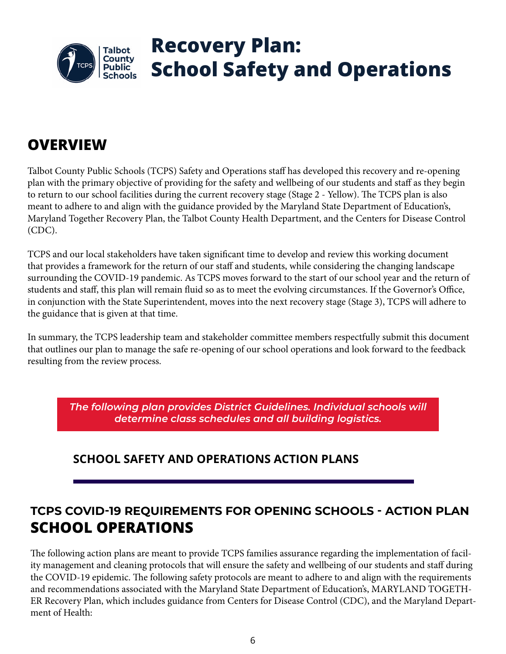

# **Recovery Plan: School Safety and Operations**

# **OVERVIEW**

Talbot County Public Schools (TCPS) Safety and Operations staff has developed this recovery and re-opening plan with the primary objective of providing for the safety and wellbeing of our students and staff as they begin to return to our school facilities during the current recovery stage (Stage 2 - Yellow). The TCPS plan is also meant to adhere to and align with the guidance provided by the Maryland State Department of Education's, Maryland Together Recovery Plan, the Talbot County Health Department, and the Centers for Disease Control (CDC).

TCPS and our local stakeholders have taken significant time to develop and review this working document that provides a framework for the return of our staff and students, while considering the changing landscape surrounding the COVID-19 pandemic. As TCPS moves forward to the start of our school year and the return of students and staff, this plan will remain fluid so as to meet the evolving circumstances. If the Governor's Office, in conjunction with the State Superintendent, moves into the next recovery stage (Stage 3), TCPS will adhere to the guidance that is given at that time.

In summary, the TCPS leadership team and stakeholder committee members respectfully submit this document that outlines our plan to manage the safe re-opening of our school operations and look forward to the feedback resulting from the review process.

*The following plan provides District Guidelines. Individual schools will determine class schedules and all building logistics.*

### **SCHOOL SAFETY AND OPERATIONS ACTION PLANS**

# **TCPS COVID-19 REQUIREMENTS FOR OPENING SCHOOLS - ACTION PLAN SCHOOL OPERATIONS**

The following action plans are meant to provide TCPS families assurance regarding the implementation of facility management and cleaning protocols that will ensure the safety and wellbeing of our students and staff during the COVID-19 epidemic. The following safety protocols are meant to adhere to and align with the requirements and recommendations associated with the Maryland State Department of Education's, MARYLAND TOGETH-ER Recovery Plan, which includes guidance from Centers for Disease Control (CDC), and the Maryland Department of Health: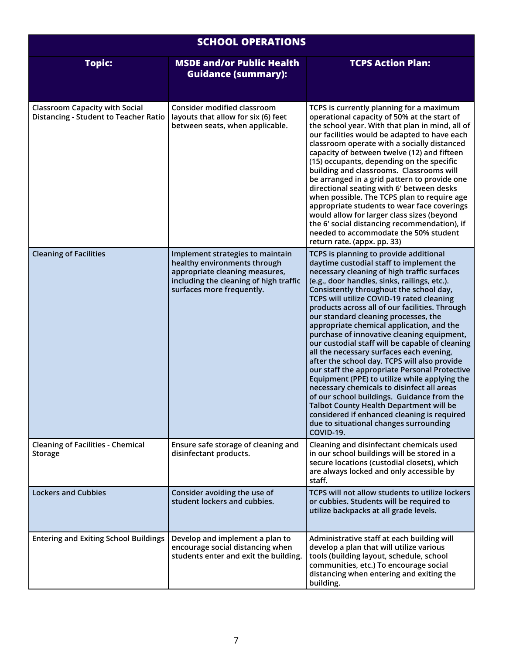| <b>SCHOOL OPERATIONS</b>                                                       |                                                                                                                                                                           |                                                                                                                                                                                                                                                                                                                                                                                                                                                                                                                                                                                                                                                                                                                                                                                                                                                                                                                                                              |  |
|--------------------------------------------------------------------------------|---------------------------------------------------------------------------------------------------------------------------------------------------------------------------|--------------------------------------------------------------------------------------------------------------------------------------------------------------------------------------------------------------------------------------------------------------------------------------------------------------------------------------------------------------------------------------------------------------------------------------------------------------------------------------------------------------------------------------------------------------------------------------------------------------------------------------------------------------------------------------------------------------------------------------------------------------------------------------------------------------------------------------------------------------------------------------------------------------------------------------------------------------|--|
| <b>Topic:</b>                                                                  | <b>MSDE and/or Public Health</b><br><b>Guidance (summary):</b>                                                                                                            | <b>TCPS Action Plan:</b>                                                                                                                                                                                                                                                                                                                                                                                                                                                                                                                                                                                                                                                                                                                                                                                                                                                                                                                                     |  |
| <b>Classroom Capacity with Social</b><br>Distancing - Student to Teacher Ratio | <b>Consider modified classroom</b><br>layouts that allow for six (6) feet<br>between seats, when applicable.                                                              | TCPS is currently planning for a maximum<br>operational capacity of 50% at the start of<br>the school year. With that plan in mind, all of<br>our facilities would be adapted to have each<br>classroom operate with a socially distanced<br>capacity of between twelve (12) and fifteen<br>(15) occupants, depending on the specific<br>building and classrooms. Classrooms will<br>be arranged in a grid pattern to provide one<br>directional seating with 6' between desks<br>when possible. The TCPS plan to require age<br>appropriate students to wear face coverings<br>would allow for larger class sizes (beyond<br>the 6' social distancing recommendation), if<br>needed to accommodate the 50% student<br>return rate. (appx. pp. 33)                                                                                                                                                                                                           |  |
| <b>Cleaning of Facilities</b>                                                  | Implement strategies to maintain<br>healthy environments through<br>appropriate cleaning measures,<br>including the cleaning of high traffic<br>surfaces more frequently. | TCPS is planning to provide additional<br>daytime custodial staff to implement the<br>necessary cleaning of high traffic surfaces<br>(e.g., door handles, sinks, railings, etc.).<br>Consistently throughout the school day,<br>TCPS will utilize COVID-19 rated cleaning<br>products across all of our facilities. Through<br>our standard cleaning processes, the<br>appropriate chemical application, and the<br>purchase of innovative cleaning equipment,<br>our custodial staff will be capable of cleaning<br>all the necessary surfaces each evening,<br>after the school day. TCPS will also provide<br>our staff the appropriate Personal Protective<br>Equipment (PPE) to utilize while applying the<br>necessary chemicals to disinfect all areas<br>of our school buildings. Guidance from the<br>Talbot County Health Department will be<br>considered if enhanced cleaning is required<br>due to situational changes surrounding<br>COVID-19. |  |
| <b>Cleaning of Facilities - Chemical</b><br><b>Storage</b>                     | Ensure safe storage of cleaning and<br>disinfectant products.                                                                                                             | Cleaning and disinfectant chemicals used<br>in our school buildings will be stored in a<br>secure locations (custodial closets), which<br>are always locked and only accessible by<br>staff.                                                                                                                                                                                                                                                                                                                                                                                                                                                                                                                                                                                                                                                                                                                                                                 |  |
| <b>Lockers and Cubbies</b>                                                     | Consider avoiding the use of<br>student lockers and cubbies.                                                                                                              | TCPS will not allow students to utilize lockers<br>or cubbies. Students will be required to<br>utilize backpacks at all grade levels.                                                                                                                                                                                                                                                                                                                                                                                                                                                                                                                                                                                                                                                                                                                                                                                                                        |  |
| <b>Entering and Exiting School Buildings</b>                                   | Develop and implement a plan to<br>encourage social distancing when<br>students enter and exit the building.                                                              | Administrative staff at each building will<br>develop a plan that will utilize various<br>tools (building layout, schedule, school<br>communities, etc.) To encourage social<br>distancing when entering and exiting the<br>building.                                                                                                                                                                                                                                                                                                                                                                                                                                                                                                                                                                                                                                                                                                                        |  |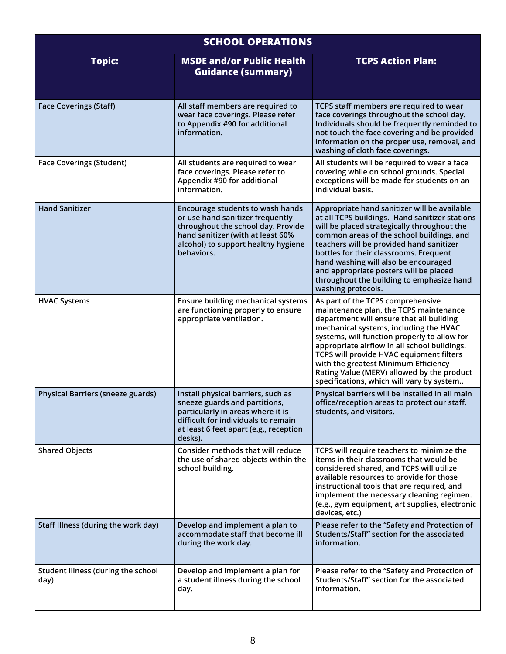| <b>SCHOOL OPERATIONS</b>                   |                                                                                                                                                                                                      |                                                                                                                                                                                                                                                                                                                                                                                                                                                  |  |  |
|--------------------------------------------|------------------------------------------------------------------------------------------------------------------------------------------------------------------------------------------------------|--------------------------------------------------------------------------------------------------------------------------------------------------------------------------------------------------------------------------------------------------------------------------------------------------------------------------------------------------------------------------------------------------------------------------------------------------|--|--|
| <b>Topic:</b>                              | <b>MSDE and/or Public Health</b><br><b>Guidance (summary)</b>                                                                                                                                        | <b>TCPS Action Plan:</b>                                                                                                                                                                                                                                                                                                                                                                                                                         |  |  |
| <b>Face Coverings (Staff)</b>              | All staff members are required to<br>wear face coverings. Please refer<br>to Appendix #90 for additional<br>information.                                                                             | TCPS staff members are required to wear<br>face coverings throughout the school day.<br>Individuals should be frequently reminded to<br>not touch the face covering and be provided<br>information on the proper use, removal, and<br>washing of cloth face coverings.                                                                                                                                                                           |  |  |
| <b>Face Coverings (Student)</b>            | All students are required to wear<br>face coverings. Please refer to<br>Appendix #90 for additional<br>information.                                                                                  | All students will be required to wear a face<br>covering while on school grounds. Special<br>exceptions will be made for students on an<br>individual basis.                                                                                                                                                                                                                                                                                     |  |  |
| <b>Hand Sanitizer</b>                      | Encourage students to wash hands<br>or use hand sanitizer frequently<br>throughout the school day. Provide<br>hand sanitizer (with at least 60%<br>alcohol) to support healthy hygiene<br>behaviors. | Appropriate hand sanitizer will be available<br>at all TCPS buildings. Hand sanitizer stations<br>will be placed strategically throughout the<br>common areas of the school buildings, and<br>teachers will be provided hand sanitizer<br>bottles for their classrooms. Frequent<br>hand washing will also be encouraged<br>and appropriate posters will be placed<br>throughout the building to emphasize hand<br>washing protocols.            |  |  |
| <b>HVAC Systems</b>                        | <b>Ensure building mechanical systems</b><br>are functioning properly to ensure<br>appropriate ventilation.                                                                                          | As part of the TCPS comprehensive<br>maintenance plan, the TCPS maintenance<br>department will ensure that all building<br>mechanical systems, including the HVAC<br>systems, will function properly to allow for<br>appropriate airflow in all school buildings.<br>TCPS will provide HVAC equipment filters<br>with the greatest Minimum Efficiency<br>Rating Value (MERV) allowed by the product<br>specifications, which will vary by system |  |  |
| Physical Barriers (sneeze guards)          | Install physical barriers, such as<br>sneeze guards and partitions,<br>particularly in areas where it is<br>difficult for individuals to remain<br>at least 6 feet apart (e.g., reception<br>desks). | Physical barriers will be installed in all main<br>office/reception areas to protect our staff,<br>students, and visitors.                                                                                                                                                                                                                                                                                                                       |  |  |
| <b>Shared Objects</b>                      | Consider methods that will reduce<br>the use of shared objects within the<br>school building.                                                                                                        | TCPS will require teachers to minimize the<br>items in their classrooms that would be<br>considered shared, and TCPS will utilize<br>available resources to provide for those<br>instructional tools that are required, and<br>implement the necessary cleaning regimen.<br>(e.g., gym equipment, art supplies, electronic<br>devices, etc.)                                                                                                     |  |  |
| Staff Illness (during the work day)        | Develop and implement a plan to<br>accommodate staff that become ill<br>during the work day.                                                                                                         | Please refer to the "Safety and Protection of<br>Students/Staff" section for the associated<br>information.                                                                                                                                                                                                                                                                                                                                      |  |  |
| Student Illness (during the school<br>day) | Develop and implement a plan for<br>a student illness during the school<br>day.                                                                                                                      | Please refer to the "Safety and Protection of<br>Students/Staff" section for the associated<br>information.                                                                                                                                                                                                                                                                                                                                      |  |  |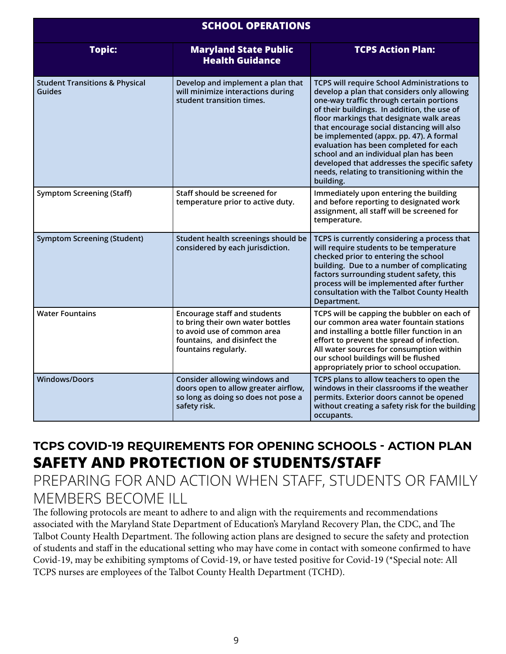| <b>SCHOOL OPERATIONS</b>                            |                                                                                                                                                                |                                                                                                                                                                                                                                                                                                                                                                                                                                                                                                                                   |  |
|-----------------------------------------------------|----------------------------------------------------------------------------------------------------------------------------------------------------------------|-----------------------------------------------------------------------------------------------------------------------------------------------------------------------------------------------------------------------------------------------------------------------------------------------------------------------------------------------------------------------------------------------------------------------------------------------------------------------------------------------------------------------------------|--|
| <b>Topic:</b>                                       | <b>Maryland State Public</b><br><b>Health Guidance</b>                                                                                                         | <b>TCPS Action Plan:</b>                                                                                                                                                                                                                                                                                                                                                                                                                                                                                                          |  |
| <b>Student Transitions &amp; Physical</b><br>Guides | Develop and implement a plan that<br>will minimize interactions during<br>student transition times.                                                            | <b>TCPS will require School Administrations to</b><br>develop a plan that considers only allowing<br>one-way traffic through certain portions<br>of their buildings. In addition, the use of<br>floor markings that designate walk areas<br>that encourage social distancing will also<br>be implemented (appx. pp. 47). A formal<br>evaluation has been completed for each<br>school and an individual plan has been<br>developed that addresses the specific safety<br>needs, relating to transitioning within the<br>building. |  |
| <b>Symptom Screening (Staff)</b>                    | Staff should be screened for<br>temperature prior to active duty.                                                                                              | Immediately upon entering the building<br>and before reporting to designated work<br>assignment, all staff will be screened for<br>temperature.                                                                                                                                                                                                                                                                                                                                                                                   |  |
| <b>Symptom Screening (Student)</b>                  | Student health screenings should be<br>considered by each jurisdiction.                                                                                        | TCPS is currently considering a process that<br>will require students to be temperature<br>checked prior to entering the school<br>building. Due to a number of complicating<br>factors surrounding student safety, this<br>process will be implemented after further<br>consultation with the Talbot County Health<br>Department.                                                                                                                                                                                                |  |
| <b>Water Fountains</b>                              | <b>Encourage staff and students</b><br>to bring their own water bottles<br>to avoid use of common area<br>fountains, and disinfect the<br>fountains regularly. | TCPS will be capping the bubbler on each of<br>our common area water fountain stations<br>and installing a bottle filler function in an<br>effort to prevent the spread of infection.<br>All water sources for consumption within<br>our school buildings will be flushed<br>appropriately prior to school occupation.                                                                                                                                                                                                            |  |
| <b>Windows/Doors</b>                                | Consider allowing windows and<br>doors open to allow greater airflow,<br>so long as doing so does not pose a<br>safety risk.                                   | TCPS plans to allow teachers to open the<br>windows in their classrooms if the weather<br>permits. Exterior doors cannot be opened<br>without creating a safety risk for the building<br>occupants.                                                                                                                                                                                                                                                                                                                               |  |

### **TCPS COVID-19 REQUIREMENTS FOR OPENING SCHOOLS - ACTION PLAN SAFETY AND PROTECTION OF STUDENTS/STAFF**

PREPARING FOR AND ACTION WHEN STAFF, STUDENTS OR FAMILY MEMBERS BECOME ILL

The following protocols are meant to adhere to and align with the requirements and recommendations associated with the Maryland State Department of Education's Maryland Recovery Plan, the CDC, and The Talbot County Health Department. The following action plans are designed to secure the safety and protection of students and staff in the educational setting who may have come in contact with someone confirmed to have Covid-19, may be exhibiting symptoms of Covid-19, or have tested positive for Covid-19 (\*Special note: All TCPS nurses are employees of the Talbot County Health Department (TCHD).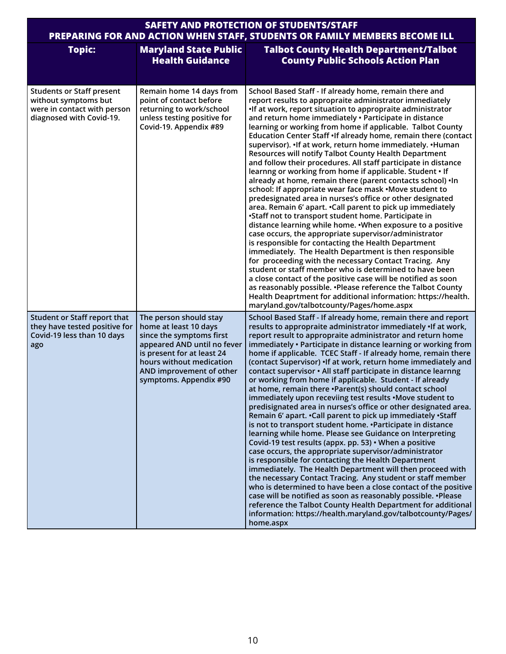| <b>SAFETY AND PROTECTION OF STUDENTS/STAFF</b><br>PREPARING FOR AND ACTION WHEN STAFF, STUDENTS OR FAMILY MEMBERS BECOME ILL |                                                                                                                                                                                                                            |                                                                                                                                                                                                                                                                                                                                                                                                                                                                                                                                                                                                                                                                                                                                                                                                                                                                                                                                                                                                                                                                                                                                                                                                                                                                                                                                                                                                                                                                                                                                                      |  |
|------------------------------------------------------------------------------------------------------------------------------|----------------------------------------------------------------------------------------------------------------------------------------------------------------------------------------------------------------------------|------------------------------------------------------------------------------------------------------------------------------------------------------------------------------------------------------------------------------------------------------------------------------------------------------------------------------------------------------------------------------------------------------------------------------------------------------------------------------------------------------------------------------------------------------------------------------------------------------------------------------------------------------------------------------------------------------------------------------------------------------------------------------------------------------------------------------------------------------------------------------------------------------------------------------------------------------------------------------------------------------------------------------------------------------------------------------------------------------------------------------------------------------------------------------------------------------------------------------------------------------------------------------------------------------------------------------------------------------------------------------------------------------------------------------------------------------------------------------------------------------------------------------------------------------|--|
| <b>Topic:</b>                                                                                                                | <b>Maryland State Public</b><br><b>Health Guidance</b>                                                                                                                                                                     | <b>Talbot County Health Department/Talbot</b><br><b>County Public Schools Action Plan</b>                                                                                                                                                                                                                                                                                                                                                                                                                                                                                                                                                                                                                                                                                                                                                                                                                                                                                                                                                                                                                                                                                                                                                                                                                                                                                                                                                                                                                                                            |  |
| <b>Students or Staff present</b><br>without symptoms but<br>were in contact with person<br>diagnosed with Covid-19.          | Remain home 14 days from<br>point of contact before<br>returning to work/school<br>unless testing positive for<br>Covid-19. Appendix #89                                                                                   | School Based Staff - If already home, remain there and<br>report results to appropraite administrator immediately<br>•If at work, report situation to appropraite administrator<br>and return home immediately · Participate in distance<br>learning or working from home if applicable. Talbot County<br>Education Center Staff . If already home, remain there (contact<br>supervisor). If at work, return home immediately. IHuman<br>Resources will notify Talbot County Health Department<br>and follow their procedures. All staff participate in distance<br>learnng or working from home if applicable. Student . If<br>already at home, remain there (parent contacts school) . In<br>school: If appropriate wear face mask .Move student to<br>predesignated area in nurses's office or other designated<br>area. Remain 6' apart. .Call parent to pick up immediately<br>•Staff not to transport student home. Participate in<br>distance learning while home. . When exposure to a positive<br>case occurs, the appropriate supervisor/administrator<br>is responsible for contacting the Health Department<br>immediately. The Health Department is then responsible<br>for proceeding with the necessary Contact Tracing. Any<br>student or staff member who is determined to have been<br>a close contact of the positive case will be notified as soon<br>as reasonably possible. . Please reference the Talbot County<br>Health Deaprtment for additional information: https://health.<br>maryland.gov/talbotcounty/Pages/home.aspx |  |
| Student or Staff report that<br>they have tested positive for<br>Covid-19 less than 10 days<br>ago                           | The person should stay<br>home at least 10 days<br>since the symptoms first<br>appeared AND until no fever<br>is present for at least 24<br>hours without medication<br>AND improvement of other<br>symptoms. Appendix #90 | School Based Staff - If already home, remain there and report<br>results to appropraite administrator immediately . If at work,<br>report result to appropraite administrator and return home<br>immediately • Participate in distance learning or working from<br>home if applicable. TCEC Staff - If already home, remain there<br>(contact Supervisor) • If at work, return home immediately and<br>contact supervisor · All staff participate in distance learnng<br>or working from home if applicable. Student - If already<br>at home, remain there ·Parent(s) should contact school<br>immediately upon receviing test results .Move student to<br>predisignated area in nurses's office or other designated area.<br>Remain 6' apart. . Call parent to pick up immediately . Staff<br>is not to transport student home. . Participate in distance<br>learning while home. Please see Guidance on Interpreting<br>Covid-19 test results (appx. pp. 53) • When a positive<br>case occurs, the appropriate supervisor/administrator<br>is responsible for contacting the Health Department<br>immediately. The Health Department will then proceed with<br>the necessary Contact Tracing. Any student or staff member<br>who is determined to have been a close contact of the positive<br>case will be notified as soon as reasonably possible. . Please<br>reference the Talbot County Health Department for additional<br>information: https://health.maryland.gov/talbotcounty/Pages/<br>home.aspx                                         |  |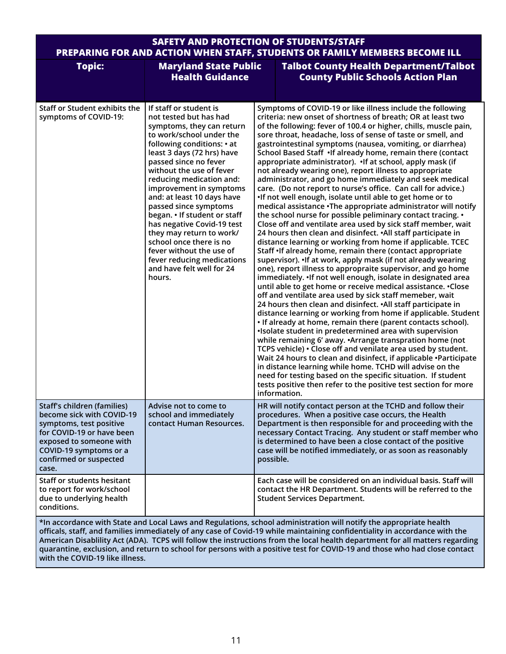#### **SAFETY AND PROTECTION OF STUDENTS/STAFF PREPARING FOR AND ACTION WHEN STAFF, STUDENTS OR FAMILY MEMBERS BECOME ILL**

| <b>Topic:</b>                                                                                                                                                                                                   | <b>Maryland State Public</b><br><b>Health Guidance</b>                                                                                                                                                                                                                                                                                                                                                                                                                                                                                                         |           | <b>Talbot County Health Department/Talbot</b><br><b>County Public Schools Action Plan</b>                                                                                                                                                                                                                                                                                                                                                                                                                                                                                                                                                                                                                                                                                                                                                                                                                                                                                                                                                                                                                                                                                                                                                                                                                                                                                                                                                                                                                                                                                                                                                                                                                                                                                                                                                                                                                                                                                                                                                                                                                       |
|-----------------------------------------------------------------------------------------------------------------------------------------------------------------------------------------------------------------|----------------------------------------------------------------------------------------------------------------------------------------------------------------------------------------------------------------------------------------------------------------------------------------------------------------------------------------------------------------------------------------------------------------------------------------------------------------------------------------------------------------------------------------------------------------|-----------|-----------------------------------------------------------------------------------------------------------------------------------------------------------------------------------------------------------------------------------------------------------------------------------------------------------------------------------------------------------------------------------------------------------------------------------------------------------------------------------------------------------------------------------------------------------------------------------------------------------------------------------------------------------------------------------------------------------------------------------------------------------------------------------------------------------------------------------------------------------------------------------------------------------------------------------------------------------------------------------------------------------------------------------------------------------------------------------------------------------------------------------------------------------------------------------------------------------------------------------------------------------------------------------------------------------------------------------------------------------------------------------------------------------------------------------------------------------------------------------------------------------------------------------------------------------------------------------------------------------------------------------------------------------------------------------------------------------------------------------------------------------------------------------------------------------------------------------------------------------------------------------------------------------------------------------------------------------------------------------------------------------------------------------------------------------------------------------------------------------------|
| Staff or Student exhibits the<br>symptoms of COVID-19:                                                                                                                                                          | If staff or student is<br>not tested but has had<br>symptoms, they can return<br>to work/school under the<br>following conditions: • at<br>least 3 days (72 hrs) have<br>passed since no fever<br>without the use of fever<br>reducing medication and:<br>improvement in symptoms<br>and: at least 10 days have<br>passed since symptoms<br>began. • If student or staff<br>has negative Covid-19 test<br>they may return to work/<br>school once there is no<br>fever without the use of<br>fever reducing medications<br>and have felt well for 24<br>hours. |           | Symptoms of COVID-19 or like illness include the following<br>criteria: new onset of shortness of breath; OR at least two<br>of the following: fever of 100.4 or higher, chills, muscle pain,<br>sore throat, headache, loss of sense of taste or smell, and<br>gastrointestinal symptoms (nausea, vomiting, or diarrhea)<br>School Based Staff . If already home, remain there (contact<br>appropriate administrator). If at school, apply mask (if<br>not already wearing one), report illness to appropriate<br>administrator, and go home immediately and seek medical<br>care. (Do not report to nurse's office. Can call for advice.)<br>•If not well enough, isolate until able to get home or to<br>medical assistance . The appropriate administrator will notify<br>the school nurse for possible peliminary contact tracing. •<br>Close off and ventilate area used by sick staff member, wait<br>24 hours then clean and disinfect. • All staff participate in<br>distance learning or working from home if applicable. TCEC<br>Staff . If already home, remain there (contact appropriate<br>supervisor). If at work, apply mask (if not already wearing<br>one), report illness to appropraite supervisor, and go home<br>immediately. . If not well enough, isolate in designated area<br>until able to get home or receive medical assistance. . Close<br>off and ventilate area used by sick staff memeber, wait<br>24 hours then clean and disinfect. • All staff participate in<br>distance learning or working from home if applicable. Student<br>• If already at home, remain there (parent contacts school).<br>. Isolate student in predetermined area with supervision<br>while remaining 6' away. • Arrange transpration home (not<br>TCPS vehicle) • Close off and venilate area used by student.<br>Wait 24 hours to clean and disinfect, if applicable •Participate<br>in distance learning while home. TCHD will advise on the<br>need for testing based on the specific situation. If student<br>tests positive then refer to the positive test section for more<br>information. |
| <b>Staff's children (families)</b><br>become sick with COVID-19<br>symptoms, test positive<br>for COVID-19 or have been<br>exposed to someone with<br>COVID-19 symptoms or a<br>confirmed or suspected<br>case. | Advise not to come to<br>school and immediately<br>contact Human Resources.                                                                                                                                                                                                                                                                                                                                                                                                                                                                                    | possible. | HR will notify contact person at the TCHD and follow their<br>procedures. When a positive case occurs, the Health<br>Department is then responsible for and proceeding with the<br>necessary Contact Tracing. Any student or staff member who<br>is determined to have been a close contact of the positive<br>case will be notified immediately, or as soon as reasonably                                                                                                                                                                                                                                                                                                                                                                                                                                                                                                                                                                                                                                                                                                                                                                                                                                                                                                                                                                                                                                                                                                                                                                                                                                                                                                                                                                                                                                                                                                                                                                                                                                                                                                                                      |
| <b>Staff or students hesitant</b><br>to report for work/school<br>due to underlying health<br>conditions.                                                                                                       |                                                                                                                                                                                                                                                                                                                                                                                                                                                                                                                                                                |           | Each case will be considered on an individual basis. Staff will<br>contact the HR Department. Students will be referred to the<br><b>Student Services Department.</b><br>the accordance with Ctate and Lecal Laws and Desulations, school administration will potify the appropriate bookh                                                                                                                                                                                                                                                                                                                                                                                                                                                                                                                                                                                                                                                                                                                                                                                                                                                                                                                                                                                                                                                                                                                                                                                                                                                                                                                                                                                                                                                                                                                                                                                                                                                                                                                                                                                                                      |

**\*In accordance with State and Local Laws and Regulations, school administration will notify the appropriate health officals, staff, and families immediately of any case of Covid-19 while maintaining confidentiality in accordance with the American Disablility Act (ADA). TCPS will follow the instructions from the local health department for all matters regarding quarantine, exclusion, and return to school for persons with a positive test for COVID-19 and those who had close contact with the COVID-19 like illness.**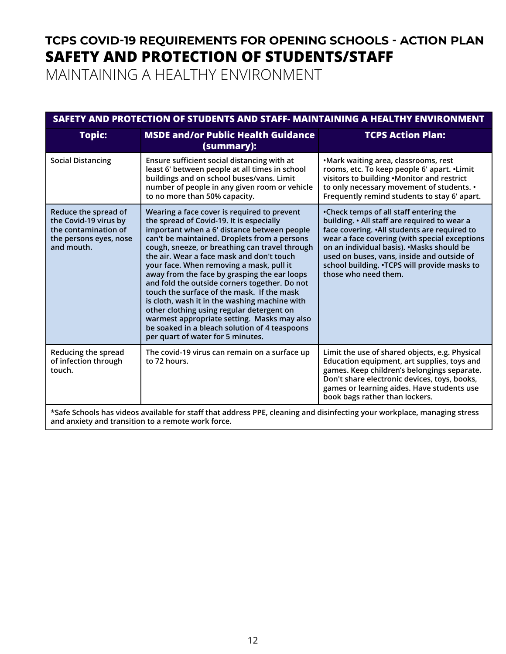# **TCPS COVID-19 REQUIREMENTS FOR OPENING SCHOOLS - ACTION PLAN SAFETY AND PROTECTION OF STUDENTS/STAFF**

MAINTAINING A HEALTHY ENVIRONMENT

| SAFETY AND PROTECTION OF STUDENTS AND STAFF- MAINTAINING A HEALTHY ENVIRONMENT                                           |                                                                                                                                                                                                                                                                                                                                                                                                                                                                                                                                                                                                                                                                                                                     |                                                                                                                                                                                                                                                                                                                                                               |  |
|--------------------------------------------------------------------------------------------------------------------------|---------------------------------------------------------------------------------------------------------------------------------------------------------------------------------------------------------------------------------------------------------------------------------------------------------------------------------------------------------------------------------------------------------------------------------------------------------------------------------------------------------------------------------------------------------------------------------------------------------------------------------------------------------------------------------------------------------------------|---------------------------------------------------------------------------------------------------------------------------------------------------------------------------------------------------------------------------------------------------------------------------------------------------------------------------------------------------------------|--|
| <b>Topic:</b>                                                                                                            | <b>MSDE and/or Public Health Guidance</b><br>(summary):                                                                                                                                                                                                                                                                                                                                                                                                                                                                                                                                                                                                                                                             | <b>TCPS Action Plan:</b>                                                                                                                                                                                                                                                                                                                                      |  |
| <b>Social Distancing</b>                                                                                                 | Ensure sufficient social distancing with at<br>least 6' between people at all times in school<br>buildings and on school buses/vans. Limit<br>number of people in any given room or vehicle<br>to no more than 50% capacity.                                                                                                                                                                                                                                                                                                                                                                                                                                                                                        | .Mark waiting area, classrooms, rest<br>rooms, etc. To keep people 6' apart. . Limit<br>visitors to building .Monitor and restrict<br>to only necessary movement of students. •<br>Frequently remind students to stay 6' apart.                                                                                                                               |  |
| Reduce the spread of<br>the Covid-19 virus by<br>the contamination of<br>the persons eyes, nose<br>and mouth.            | Wearing a face cover is required to prevent<br>the spread of Covid-19. It is especially<br>important when a 6' distance between people<br>can't be maintained. Droplets from a persons<br>cough, sneeze, or breathing can travel through<br>the air. Wear a face mask and don't touch<br>your face. When removing a mask, pull it<br>away from the face by grasping the ear loops<br>and fold the outside corners together. Do not<br>touch the surface of the mask. If the mask<br>is cloth, wash it in the washing machine with<br>other clothing using regular detergent on<br>warmest appropriate setting. Masks may also<br>be soaked in a bleach solution of 4 teaspoons<br>per quart of water for 5 minutes. | •Check temps of all staff entering the<br>building. • All staff are required to wear a<br>face covering. . All students are required to<br>wear a face covering (with special exceptions<br>on an individual basis). . Masks should be<br>used on buses, vans, inside and outside of<br>school building. . TCPS will provide masks to<br>those who need them. |  |
| Reducing the spread<br>of infection through<br>touch.                                                                    | The covid-19 virus can remain on a surface up<br>to 72 hours.                                                                                                                                                                                                                                                                                                                                                                                                                                                                                                                                                                                                                                                       | Limit the use of shared objects, e.g. Physical<br>Education equipment, art supplies, toys and<br>games. Keep children's belongings separate.<br>Don't share electronic devices, toys, books,<br>games or learning aides. Have students use<br>book bags rather than lockers.                                                                                  |  |
| *Safe Schools has videos available for staff that address PPE, cleaning and disinfecting your workplace, managing stress |                                                                                                                                                                                                                                                                                                                                                                                                                                                                                                                                                                                                                                                                                                                     |                                                                                                                                                                                                                                                                                                                                                               |  |

**and anxiety and transition to a remote work force.**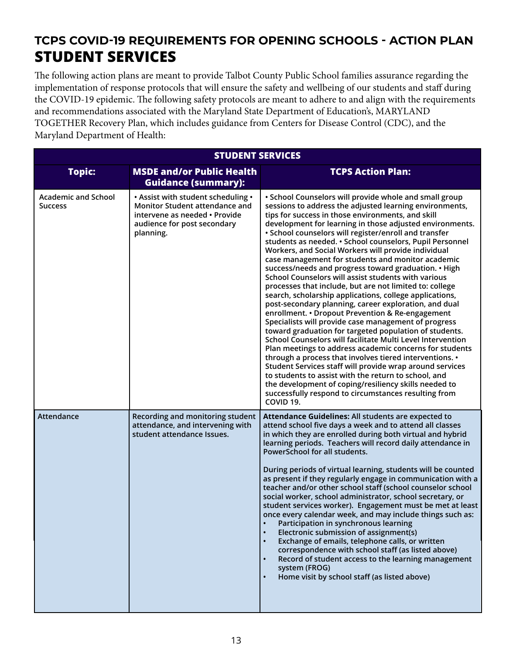# **TCPS COVID-19 REQUIREMENTS FOR OPENING SCHOOLS - ACTION PLAN STUDENT SERVICES**

The following action plans are meant to provide Talbot County Public School families assurance regarding the implementation of response protocols that will ensure the safety and wellbeing of our students and staff during the COVID-19 epidemic. The following safety protocols are meant to adhere to and align with the requirements and recommendations associated with the Maryland State Department of Education's, MARYLAND TOGETHER Recovery Plan, which includes guidance from Centers for Disease Control (CDC), and the Maryland Department of Health:

| <b>STUDENT SERVICES</b>                      |                                                                                                                                                   |                                                                                                                                                                                                                                                                                                                                                                                                                                                                                                                                                                                                                                                                                                                                                                                                                                                                                                                                                                                                                                                                                                                                                                                                                                                                                                                                                                               |
|----------------------------------------------|---------------------------------------------------------------------------------------------------------------------------------------------------|-------------------------------------------------------------------------------------------------------------------------------------------------------------------------------------------------------------------------------------------------------------------------------------------------------------------------------------------------------------------------------------------------------------------------------------------------------------------------------------------------------------------------------------------------------------------------------------------------------------------------------------------------------------------------------------------------------------------------------------------------------------------------------------------------------------------------------------------------------------------------------------------------------------------------------------------------------------------------------------------------------------------------------------------------------------------------------------------------------------------------------------------------------------------------------------------------------------------------------------------------------------------------------------------------------------------------------------------------------------------------------|
| <b>Topic:</b>                                | <b>MSDE and/or Public Health</b><br><b>Guidance (summary):</b>                                                                                    | <b>TCPS Action Plan:</b>                                                                                                                                                                                                                                                                                                                                                                                                                                                                                                                                                                                                                                                                                                                                                                                                                                                                                                                                                                                                                                                                                                                                                                                                                                                                                                                                                      |
| <b>Academic and School</b><br><b>Success</b> | • Assist with student scheduling •<br>Monitor Student attendance and<br>intervene as needed • Provide<br>audience for post secondary<br>planning. | . School Counselors will provide whole and small group<br>sessions to address the adjusted learning environments,<br>tips for success in those environments, and skill<br>development for learning in those adjusted environments.<br>• School counselors will register/enroll and transfer<br>students as needed. • School counselors, Pupil Personnel<br>Workers, and Social Workers will provide individual<br>case management for students and monitor academic<br>success/needs and progress toward graduation. • High<br>School Counselors will assist students with various<br>processes that include, but are not limited to: college<br>search, scholarship applications, college applications,<br>post-secondary planning, career exploration, and dual<br>enrollment. • Dropout Prevention & Re-engagement<br>Specialists will provide case management of progress<br>toward graduation for targeted population of students.<br>School Counselors will facilitate Multi Level Intervention<br>Plan meetings to address academic concerns for students<br>through a process that involves tiered interventions. •<br>Student Services staff will provide wrap around services<br>to students to assist with the return to school, and<br>the development of coping/resiliency skills needed to<br>successfully respond to circumstances resulting from<br>COVID 19. |
| Attendance                                   | Recording and monitoring student<br>attendance, and intervening with<br>student attendance Issues.                                                | Attendance Guidelines: All students are expected to<br>attend school five days a week and to attend all classes<br>in which they are enrolled during both virtual and hybrid<br>learning periods. Teachers will record daily attendance in<br>PowerSchool for all students.<br>During periods of virtual learning, students will be counted<br>as present if they regularly engage in communication with a<br>teacher and/or other school staff (school counselor school<br>social worker, school administrator, school secretary, or<br>student services worker). Engagement must be met at least<br>once every calendar week, and may include things such as:<br>Participation in synchronous learning<br>Electronic submission of assignment(s)<br>$\bullet$<br>Exchange of emails, telephone calls, or written<br>$\bullet$<br>correspondence with school staff (as listed above)<br>Record of student access to the learning management<br>$\bullet$<br>system (FROG)<br>Home visit by school staff (as listed above)<br>$\bullet$                                                                                                                                                                                                                                                                                                                                       |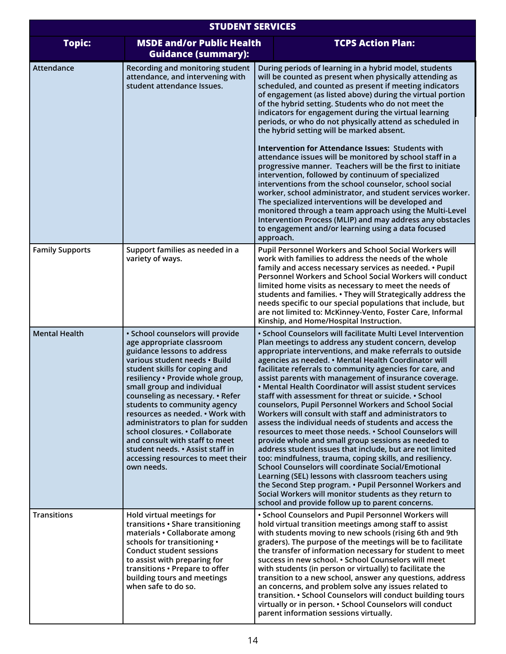| <b>STUDENT SERVICES</b> |                                                                                                                                                                                                                                                                                                                                                                                                                                                                                                                                           |                                                                                                                                                                                                                                                                                                                                                                                                                                                                                                                                                                                                                                                                                                                                                                                                                                                                                                                                                                                                                                                                                                                                                                                                        |  |
|-------------------------|-------------------------------------------------------------------------------------------------------------------------------------------------------------------------------------------------------------------------------------------------------------------------------------------------------------------------------------------------------------------------------------------------------------------------------------------------------------------------------------------------------------------------------------------|--------------------------------------------------------------------------------------------------------------------------------------------------------------------------------------------------------------------------------------------------------------------------------------------------------------------------------------------------------------------------------------------------------------------------------------------------------------------------------------------------------------------------------------------------------------------------------------------------------------------------------------------------------------------------------------------------------------------------------------------------------------------------------------------------------------------------------------------------------------------------------------------------------------------------------------------------------------------------------------------------------------------------------------------------------------------------------------------------------------------------------------------------------------------------------------------------------|--|
| <b>Topic:</b>           | <b>MSDE and/or Public Health</b><br><b>Guidance (summary):</b>                                                                                                                                                                                                                                                                                                                                                                                                                                                                            | <b>TCPS Action Plan:</b>                                                                                                                                                                                                                                                                                                                                                                                                                                                                                                                                                                                                                                                                                                                                                                                                                                                                                                                                                                                                                                                                                                                                                                               |  |
| Attendance              | Recording and monitoring student<br>attendance, and intervening with<br>student attendance Issues.                                                                                                                                                                                                                                                                                                                                                                                                                                        | During periods of learning in a hybrid model, students<br>will be counted as present when physically attending as<br>scheduled, and counted as present if meeting indicators<br>of engagement (as listed above) during the virtual portion<br>of the hybrid setting. Students who do not meet the<br>indicators for engagement during the virtual learning<br>periods, or who do not physically attend as scheduled in<br>the hybrid setting will be marked absent.<br>Intervention for Attendance Issues: Students with<br>attendance issues will be monitored by school staff in a<br>progressive manner. Teachers will be the first to initiate<br>intervention, followed by continuum of specialized<br>interventions from the school counselor, school social<br>worker, school administrator, and student services worker.<br>The specialized interventions will be developed and<br>monitored through a team approach using the Multi-Level<br>Intervention Process (MLIP) and may address any obstacles<br>to engagement and/or learning using a data focused<br>approach.                                                                                                                     |  |
| <b>Family Supports</b>  | Support families as needed in a<br>variety of ways.                                                                                                                                                                                                                                                                                                                                                                                                                                                                                       | Pupil Personnel Workers and School Social Workers will<br>work with families to address the needs of the whole<br>family and access necessary services as needed. • Pupil<br>Personnel Workers and School Social Workers will conduct<br>limited home visits as necessary to meet the needs of<br>students and families. • They will Strategically address the<br>needs specific to our special populations that include, but<br>are not limited to: McKinney-Vento, Foster Care, Informal<br>Kinship, and Home/Hospital Instruction.                                                                                                                                                                                                                                                                                                                                                                                                                                                                                                                                                                                                                                                                  |  |
| <b>Mental Health</b>    | · School counselors will provide<br>age appropriate classroom<br>guidance lessons to address<br>various student needs · Build<br>student skills for coping and<br>resiliency · Provide whole group,<br>small group and individual<br>counseling as necessary. • Refer<br>students to community agency<br>resources as needed. • Work with<br>administrators to plan for sudden<br>school closures. • Collaborate<br>and consult with staff to meet<br>student needs. • Assist staff in<br>accessing resources to meet their<br>own needs. | • School Counselors will facilitate Multi Level Intervention<br>Plan meetings to address any student concern, develop<br>appropriate interventions, and make referrals to outside<br>agencies as needed. • Mental Health Coordinator will<br>facilitate referrals to community agencies for care, and<br>assist parents with management of insurance coverage.<br>• Mental Health Coordinator will assist student services<br>staff with assessment for threat or suicide. • School<br>counselors, Pupil Personnel Workers and School Social<br>Workers will consult with staff and administrators to<br>assess the individual needs of students and access the<br>resources to meet those needs. • School Counselors will<br>provide whole and small group sessions as needed to<br>address student issues that include, but are not limited<br>too: mindfulness, trauma, coping skills, and resiliency.<br><b>School Counselors will coordinate Social/Emotional</b><br>Learning (SEL) lessons with classroom teachers using<br>the Second Step program. . Pupil Personnel Workers and<br>Social Workers will monitor students as they return to<br>school and provide follow up to parent concerns. |  |
| <b>Transitions</b>      | Hold virtual meetings for<br>transitions . Share transitioning<br>materials · Collaborate among<br>schools for transitioning •<br><b>Conduct student sessions</b><br>to assist with preparing for<br>transitions . Prepare to offer<br>building tours and meetings<br>when safe to do so.                                                                                                                                                                                                                                                 | • School Counselors and Pupil Personnel Workers will<br>hold virtual transition meetings among staff to assist<br>with students moving to new schools (rising 6th and 9th<br>graders). The purpose of the meetings will be to facilitate<br>the transfer of information necessary for student to meet<br>success in new school. . School Counselors will meet<br>with students (in person or virtually) to facilitate the<br>transition to a new school, answer any questions, address<br>an concerns, and problem solve any issues related to<br>transition. • School Counselors will conduct building tours<br>virtually or in person. . School Counselors will conduct<br>parent information sessions virtually.                                                                                                                                                                                                                                                                                                                                                                                                                                                                                    |  |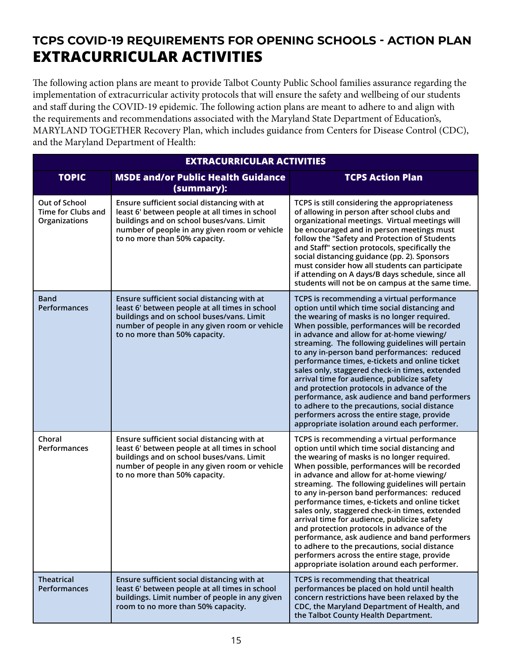# **TCPS COVID-19 REQUIREMENTS FOR OPENING SCHOOLS - ACTION PLAN EXTRACURRICULAR ACTIVITIES**

The following action plans are meant to provide Talbot County Public School families assurance regarding the implementation of extracurricular activity protocols that will ensure the safety and wellbeing of our students and staff during the COVID-19 epidemic. The following action plans are meant to adhere to and align with the requirements and recommendations associated with the Maryland State Department of Education's, MARYLAND TOGETHER Recovery Plan, which includes guidance from Centers for Disease Control (CDC), and the Maryland Department of Health:

| <b>EXTRACURRICULAR ACTIVITIES</b>                    |                                                                                                                                                                                                                              |                                                                                                                                                                                                                                                                                                                                                                                                                                                                                                                                                                                                                                                                                                                                              |  |
|------------------------------------------------------|------------------------------------------------------------------------------------------------------------------------------------------------------------------------------------------------------------------------------|----------------------------------------------------------------------------------------------------------------------------------------------------------------------------------------------------------------------------------------------------------------------------------------------------------------------------------------------------------------------------------------------------------------------------------------------------------------------------------------------------------------------------------------------------------------------------------------------------------------------------------------------------------------------------------------------------------------------------------------------|--|
| <b>TOPIC</b>                                         | <b>MSDE and/or Public Health Guidance</b><br>(summary):                                                                                                                                                                      | <b>TCPS Action Plan</b>                                                                                                                                                                                                                                                                                                                                                                                                                                                                                                                                                                                                                                                                                                                      |  |
| Out of School<br>Time for Clubs and<br>Organizations | Ensure sufficient social distancing with at<br>least 6' between people at all times in school<br>buildings and on school buses/vans. Limit<br>number of people in any given room or vehicle<br>to no more than 50% capacity. | TCPS is still considering the appropriateness<br>of allowing in person after school clubs and<br>organizational meetings. Virtual meetings will<br>be encouraged and in person meetings must<br>follow the "Safety and Protection of Students<br>and Staff" section protocols, specifically the<br>social distancing guidance (pp. 2). Sponsors<br>must consider how all students can participate<br>if attending on A days/B days schedule, since all<br>students will not be on campus at the same time.                                                                                                                                                                                                                                   |  |
| <b>Band</b><br>Performances                          | Ensure sufficient social distancing with at<br>least 6' between people at all times in school<br>buildings and on school buses/vans. Limit<br>number of people in any given room or vehicle<br>to no more than 50% capacity. | TCPS is recommending a virtual performance<br>option until which time social distancing and<br>the wearing of masks is no longer required.<br>When possible, performances will be recorded<br>in advance and allow for at-home viewing/<br>streaming. The following guidelines will pertain<br>to any in-person band performances: reduced<br>performance times, e-tickets and online ticket<br>sales only, staggered check-in times, extended<br>arrival time for audience, publicize safety<br>and protection protocols in advance of the<br>performance, ask audience and band performers<br>to adhere to the precautions, social distance<br>performers across the entire stage, provide<br>appropriate isolation around each performer. |  |
| Choral<br>Performances                               | Ensure sufficient social distancing with at<br>least 6' between people at all times in school<br>buildings and on school buses/vans. Limit<br>number of people in any given room or vehicle<br>to no more than 50% capacity. | TCPS is recommending a virtual performance<br>option until which time social distancing and<br>the wearing of masks is no longer required.<br>When possible, performances will be recorded<br>in advance and allow for at-home viewing/<br>streaming. The following guidelines will pertain<br>to any in-person band performances: reduced<br>performance times, e-tickets and online ticket<br>sales only, staggered check-in times, extended<br>arrival time for audience, publicize safety<br>and protection protocols in advance of the<br>performance, ask audience and band performers<br>to adhere to the precautions, social distance<br>performers across the entire stage, provide<br>appropriate isolation around each performer. |  |
| <b>Theatrical</b><br><b>Performances</b>             | Ensure sufficient social distancing with at<br>least 6' between people at all times in school<br>buildings. Limit number of people in any given<br>room to no more than 50% capacity.                                        | TCPS is recommending that theatrical<br>performances be placed on hold until health<br>concern restrictions have been relaxed by the<br>CDC, the Maryland Department of Health, and<br>the Talbot County Health Department.                                                                                                                                                                                                                                                                                                                                                                                                                                                                                                                  |  |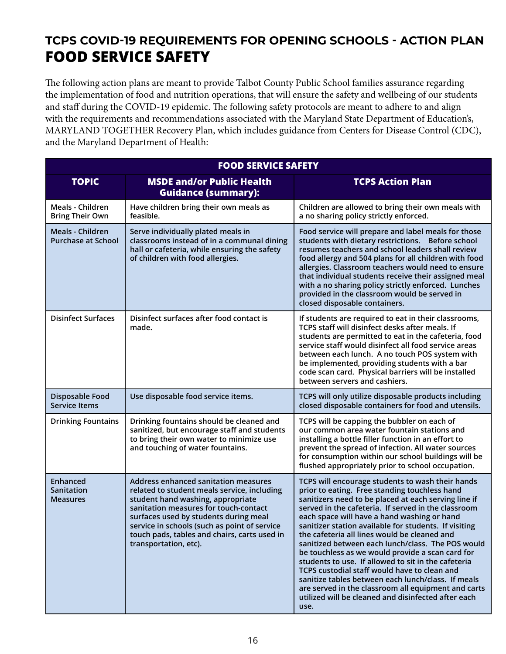# **TCPS COVID-19 REQUIREMENTS FOR OPENING SCHOOLS - ACTION PLAN FOOD SERVICE SAFETY**

The following action plans are meant to provide Talbot County Public School families assurance regarding the implementation of food and nutrition operations, that will ensure the safety and wellbeing of our students and staff during the COVID-19 epidemic. The following safety protocols are meant to adhere to and align with the requirements and recommendations associated with the Maryland State Department of Education's, MARYLAND TOGETHER Recovery Plan, which includes guidance from Centers for Disease Control (CDC), and the Maryland Department of Health:

| <b>FOOD SERVICE SAFETY</b>                    |                                                                                                                                                                                                                                                                                                                                     |                                                                                                                                                                                                                                                                                                                                                                                                                                                                                                                                                                                                                                                                                                                                                                      |  |
|-----------------------------------------------|-------------------------------------------------------------------------------------------------------------------------------------------------------------------------------------------------------------------------------------------------------------------------------------------------------------------------------------|----------------------------------------------------------------------------------------------------------------------------------------------------------------------------------------------------------------------------------------------------------------------------------------------------------------------------------------------------------------------------------------------------------------------------------------------------------------------------------------------------------------------------------------------------------------------------------------------------------------------------------------------------------------------------------------------------------------------------------------------------------------------|--|
| <b>TOPIC</b>                                  | <b>MSDE and/or Public Health</b><br><b>Guidance (summary):</b>                                                                                                                                                                                                                                                                      | <b>TCPS Action Plan</b>                                                                                                                                                                                                                                                                                                                                                                                                                                                                                                                                                                                                                                                                                                                                              |  |
| Meals - Children<br><b>Bring Their Own</b>    | Have children bring their own meals as<br>feasible.                                                                                                                                                                                                                                                                                 | Children are allowed to bring their own meals with<br>a no sharing policy strictly enforced.                                                                                                                                                                                                                                                                                                                                                                                                                                                                                                                                                                                                                                                                         |  |
| Meals - Children<br><b>Purchase at School</b> | Serve individually plated meals in<br>classrooms instead of in a communal dining<br>hall or cafeteria, while ensuring the safety<br>of children with food allergies.                                                                                                                                                                | Food service will prepare and label meals for those<br>students with dietary restrictions. Before school<br>resumes teachers and school leaders shall review<br>food allergy and 504 plans for all children with food<br>allergies. Classroom teachers would need to ensure<br>that individual students receive their assigned meal<br>with a no sharing policy strictly enforced. Lunches<br>provided in the classroom would be served in<br>closed disposable containers.                                                                                                                                                                                                                                                                                          |  |
| <b>Disinfect Surfaces</b>                     | Disinfect surfaces after food contact is<br>made.                                                                                                                                                                                                                                                                                   | If students are required to eat in their classrooms,<br>TCPS staff will disinfect desks after meals. If<br>students are permitted to eat in the cafeteria, food<br>service staff would disinfect all food service areas<br>between each lunch. A no touch POS system with<br>be implemented, providing students with a bar<br>code scan card. Physical barriers will be installed<br>between servers and cashiers.                                                                                                                                                                                                                                                                                                                                                   |  |
| Disposable Food<br><b>Service Items</b>       | Use disposable food service items.                                                                                                                                                                                                                                                                                                  | TCPS will only utilize disposable products including<br>closed disposable containers for food and utensils.                                                                                                                                                                                                                                                                                                                                                                                                                                                                                                                                                                                                                                                          |  |
| <b>Drinking Fountains</b>                     | Drinking fountains should be cleaned and<br>sanitized, but encourage staff and students<br>to bring their own water to minimize use<br>and touching of water fountains.                                                                                                                                                             | TCPS will be capping the bubbler on each of<br>our common area water fountain stations and<br>installing a bottle filler function in an effort to<br>prevent the spread of infection. All water sources<br>for consumption within our school buildings will be<br>flushed appropriately prior to school occupation.                                                                                                                                                                                                                                                                                                                                                                                                                                                  |  |
| Enhanced<br>Sanitation<br><b>Measures</b>     | Address enhanced sanitation measures<br>related to student meals service, including<br>student hand washing, appropriate<br>sanitation measures for touch-contact<br>surfaces used by students during meal<br>service in schools (such as point of service<br>touch pads, tables and chairs, carts used in<br>transportation, etc). | TCPS will encourage students to wash their hands<br>prior to eating. Free standing touchless hand<br>sanitizers need to be placed at each serving line if<br>served in the cafeteria. If served in the classroom<br>each space will have a hand washing or hand<br>sanitizer station available for students. If visiting<br>the cafeteria all lines would be cleaned and<br>sanitized between each lunch/class. The POS would<br>be touchless as we would provide a scan card for<br>students to use. If allowed to sit in the cafeteria<br>TCPS custodial staff would have to clean and<br>sanitize tables between each lunch/class. If meals<br>are served in the classroom all equipment and carts<br>utilized will be cleaned and disinfected after each<br>use. |  |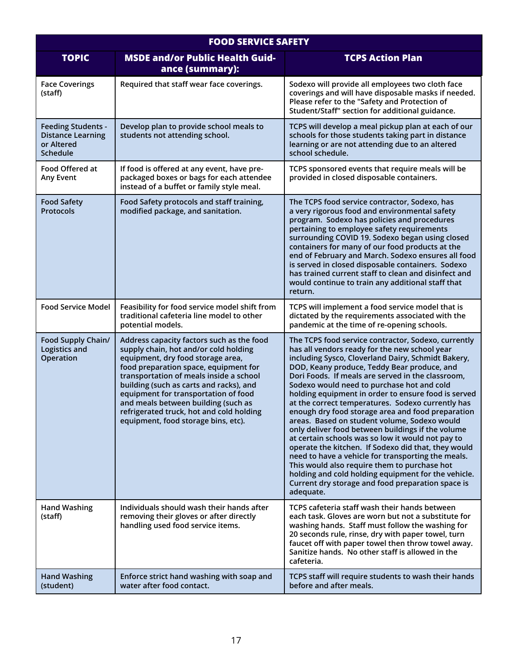| <b>FOOD SERVICE SAFETY</b>                                                      |                                                                                                                                                                                                                                                                                                                                                                                                                          |                                                                                                                                                                                                                                                                                                                                                                                                                                                                                                                                                                                                                                                                                                                                                                                                                                                                                                                               |
|---------------------------------------------------------------------------------|--------------------------------------------------------------------------------------------------------------------------------------------------------------------------------------------------------------------------------------------------------------------------------------------------------------------------------------------------------------------------------------------------------------------------|-------------------------------------------------------------------------------------------------------------------------------------------------------------------------------------------------------------------------------------------------------------------------------------------------------------------------------------------------------------------------------------------------------------------------------------------------------------------------------------------------------------------------------------------------------------------------------------------------------------------------------------------------------------------------------------------------------------------------------------------------------------------------------------------------------------------------------------------------------------------------------------------------------------------------------|
| <b>TOPIC</b>                                                                    | <b>MSDE and/or Public Health Guid-</b><br>ance (summary):                                                                                                                                                                                                                                                                                                                                                                | <b>TCPS Action Plan</b>                                                                                                                                                                                                                                                                                                                                                                                                                                                                                                                                                                                                                                                                                                                                                                                                                                                                                                       |
| <b>Face Coverings</b><br>(staff)                                                | Required that staff wear face coverings.                                                                                                                                                                                                                                                                                                                                                                                 | Sodexo will provide all employees two cloth face<br>coverings and will have disposable masks if needed.<br>Please refer to the "Safety and Protection of<br>Student/Staff" section for additional guidance.                                                                                                                                                                                                                                                                                                                                                                                                                                                                                                                                                                                                                                                                                                                   |
| <b>Feeding Students -</b><br><b>Distance Learning</b><br>or Altered<br>Schedule | Develop plan to provide school meals to<br>students not attending school.                                                                                                                                                                                                                                                                                                                                                | TCPS will develop a meal pickup plan at each of our<br>schools for those students taking part in distance<br>learning or are not attending due to an altered<br>school schedule.                                                                                                                                                                                                                                                                                                                                                                                                                                                                                                                                                                                                                                                                                                                                              |
| Food Offered at<br>Any Event                                                    | If food is offered at any event, have pre-<br>packaged boxes or bags for each attendee<br>instead of a buffet or family style meal.                                                                                                                                                                                                                                                                                      | TCPS sponsored events that require meals will be<br>provided in closed disposable containers.                                                                                                                                                                                                                                                                                                                                                                                                                                                                                                                                                                                                                                                                                                                                                                                                                                 |
| <b>Food Safety</b><br><b>Protocols</b>                                          | Food Safety protocols and staff training,<br>modified package, and sanitation.                                                                                                                                                                                                                                                                                                                                           | The TCPS food service contractor, Sodexo, has<br>a very rigorous food and environmental safety<br>program. Sodexo has policies and procedures<br>pertaining to employee safety requirements<br>surrounding COVID 19. Sodexo began using closed<br>containers for many of our food products at the<br>end of February and March. Sodexo ensures all food<br>is served in closed disposable containers. Sodexo<br>has trained current staff to clean and disinfect and<br>would continue to train any additional staff that<br>return.                                                                                                                                                                                                                                                                                                                                                                                          |
| <b>Food Service Model</b>                                                       | Feasibility for food service model shift from<br>traditional cafeteria line model to other<br>potential models.                                                                                                                                                                                                                                                                                                          | TCPS will implement a food service model that is<br>dictated by the requirements associated with the<br>pandemic at the time of re-opening schools.                                                                                                                                                                                                                                                                                                                                                                                                                                                                                                                                                                                                                                                                                                                                                                           |
| Food Supply Chain/<br>Logistics and<br>Operation                                | Address capacity factors such as the food<br>supply chain, hot and/or cold holding<br>equipment, dry food storage area,<br>food preparation space, equipment for<br>transportation of meals inside a school<br>building (such as carts and racks), and<br>equipment for transportation of food<br>and meals between building (such as<br>refrigerated truck, hot and cold holding<br>equipment, food storage bins, etc). | The TCPS food service contractor, Sodexo, currently<br>has all vendors ready for the new school year<br>including Sysco, Cloverland Dairy, Schmidt Bakery,<br>DOD, Keany produce, Teddy Bear produce, and<br>Dori Foods. If meals are served in the classroom,<br>Sodexo would need to purchase hot and cold<br>holding equipment in order to ensure food is served<br>at the correct temperatures. Sodexo currently has<br>enough dry food storage area and food preparation<br>areas. Based on student volume, Sodexo would<br>only deliver food between buildings if the volume<br>at certain schools was so low it would not pay to<br>operate the kitchen. If Sodexo did that, they would<br>need to have a vehicle for transporting the meals.<br>This would also require them to purchase hot<br>holding and cold holding equipment for the vehicle.<br>Current dry storage and food preparation space is<br>adequate. |
| <b>Hand Washing</b><br>(staff)                                                  | Individuals should wash their hands after<br>removing their gloves or after directly<br>handling used food service items.                                                                                                                                                                                                                                                                                                | TCPS cafeteria staff wash their hands between<br>each task. Gloves are worn but not a substitute for<br>washing hands. Staff must follow the washing for<br>20 seconds rule, rinse, dry with paper towel, turn<br>faucet off with paper towel then throw towel away.<br>Sanitize hands. No other staff is allowed in the<br>cafeteria.                                                                                                                                                                                                                                                                                                                                                                                                                                                                                                                                                                                        |
| <b>Hand Washing</b><br>(student)                                                | Enforce strict hand washing with soap and<br>water after food contact.                                                                                                                                                                                                                                                                                                                                                   | TCPS staff will require students to wash their hands<br>before and after meals.                                                                                                                                                                                                                                                                                                                                                                                                                                                                                                                                                                                                                                                                                                                                                                                                                                               |